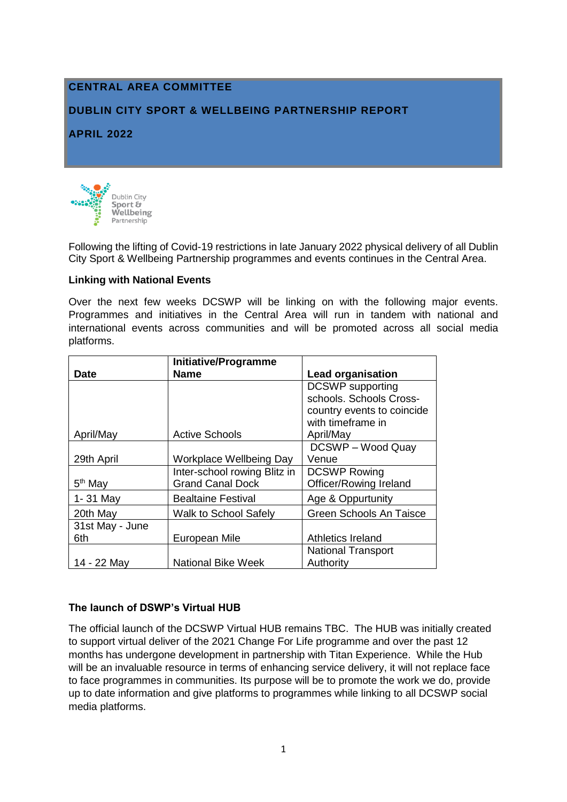# **CENTRAL AREA COMMITTEE**

## **DUBLIN CITY SPORT & WELLBEING PARTNERSHIP REPORT**

## **APRIL 2022**



Following the lifting of Covid-19 restrictions in late January 2022 physical delivery of all Dublin City Sport & Wellbeing Partnership programmes and events continues in the Central Area.

#### **Linking with National Events**

Over the next few weeks DCSWP will be linking on with the following major events. Programmes and initiatives in the Central Area will run in tandem with national and international events across communities and will be promoted across all social media platforms.

|                     | Initiative/Programme           |                                |
|---------------------|--------------------------------|--------------------------------|
| <b>Date</b>         | <b>Name</b>                    | <b>Lead organisation</b>       |
|                     |                                | <b>DCSWP</b> supporting        |
|                     |                                | schools. Schools Cross-        |
|                     |                                | country events to coincide     |
|                     |                                | with timeframe in              |
| April/May           | <b>Active Schools</b>          | April/May                      |
|                     |                                | DCSWP - Wood Quay              |
| 29th April          | <b>Workplace Wellbeing Day</b> | Venue                          |
|                     | Inter-school rowing Blitz in   | <b>DCSWP Rowing</b>            |
| 5 <sup>th</sup> May | <b>Grand Canal Dock</b>        | Officer/Rowing Ireland         |
| 1-31 May            | <b>Bealtaine Festival</b>      | Age & Oppurtunity              |
| 20th May            | <b>Walk to School Safely</b>   | <b>Green Schools An Taisce</b> |
| 31st May - June     |                                |                                |
| 6th                 | European Mile                  | Athletics Ireland              |
|                     |                                | <b>National Transport</b>      |
| 14 - 22 May         | <b>National Bike Week</b>      | Authority                      |

### **The launch of DSWP's Virtual HUB**

The official launch of the DCSWP Virtual HUB remains TBC. The HUB was initially created to support virtual deliver of the 2021 Change For Life programme and over the past 12 months has undergone development in partnership with Titan Experience. While the Hub will be an invaluable resource in terms of enhancing service delivery, it will not replace face to face programmes in communities. Its purpose will be to promote the work we do, provide up to date information and give platforms to programmes while linking to all DCSWP social media platforms.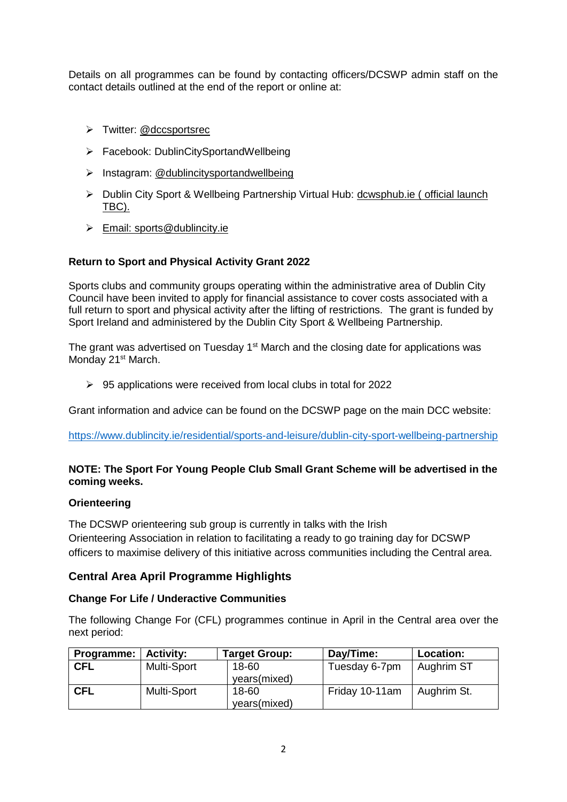Details on all programmes can be found by contacting officers/DCSWP admin staff on the contact details outlined at the end of the report or online at:

- > Twitter: @dccsportsrec
- Facebook: DublinCitySportandWellbeing
- > Instagram: @dublincitysportandwellbeing
- Dublin City Sport & Wellbeing Partnership Virtual Hub: [dcwsphub.ie](http://www.dcswphub.ie/) ( official launch TBC).
- Email: [sports@dublincity.ie](file://///dccdata/cande/Shared/EandC/Sport%20&%20Wellbeing%20Partnership/Communications/Area%20Committee%20Reports/Reporting%202022/South%20East%20Area/sports@dublincity.ie)

## **Return to Sport and Physical Activity Grant 2022**

Sports clubs and community groups operating within the administrative area of Dublin City Council have been invited to apply for financial assistance to cover costs associated with a full return to sport and physical activity after the lifting of restrictions. The grant is funded by Sport Ireland and administered by the Dublin City Sport & Wellbeing Partnership.

The grant was advertised on Tuesday 1<sup>st</sup> March and the closing date for applications was Monday 21<sup>st</sup> March.

 $\geq$  95 applications were received from local clubs in total for 2022

Grant information and advice can be found on the DCSWP page on the main DCC website:

<https://www.dublincity.ie/residential/sports-and-leisure/dublin-city-sport-wellbeing-partnership>

### **NOTE: The Sport For Young People Club Small Grant Scheme will be advertised in the coming weeks.**

### **Orienteering**

The DCSWP orienteering sub group is currently in talks with the Irish Orienteering Association in relation to facilitating a ready to go training day for DCSWP officers to maximise delivery of this initiative across communities including the Central area.

## **Central Area April Programme Highlights**

### **Change For Life / Underactive Communities**

The following Change For (CFL) programmes continue in April in the Central area over the next period:

| Programme: | <b>Activity:</b> | <b>Target Group:</b> | Day/Time:      | Location:   |
|------------|------------------|----------------------|----------------|-------------|
| <b>CFL</b> | Multi-Sport      | 18-60                | Tuesday 6-7pm  | Aughrim ST  |
|            |                  | years(mixed)         |                |             |
| <b>CFL</b> | Multi-Sport      | 18-60                | Friday 10-11am | Aughrim St. |
|            |                  | years(mixed)         |                |             |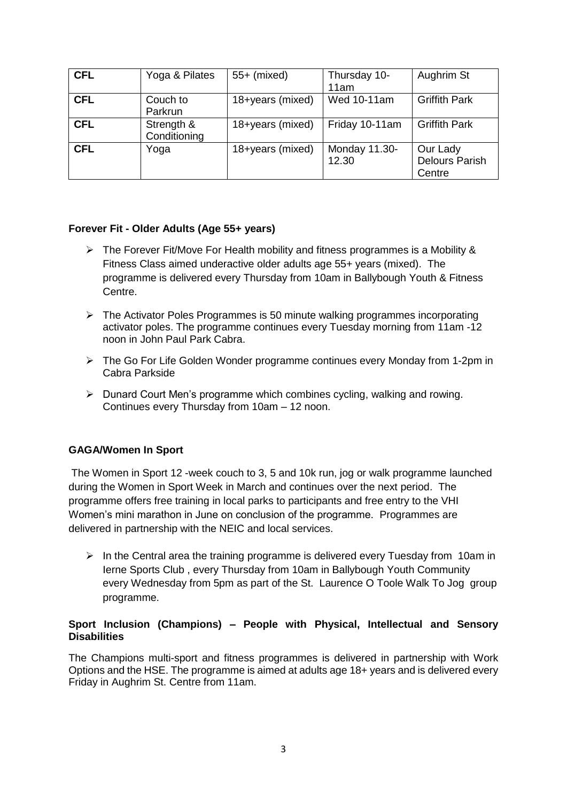| <b>CFL</b> | Yoga & Pilates             | $55+$ (mixed)    | Thursday 10-<br>11am   | Aughrim St                                  |
|------------|----------------------------|------------------|------------------------|---------------------------------------------|
| <b>CFL</b> | Couch to<br>Parkrun        | 18+years (mixed) | Wed 10-11am            | <b>Griffith Park</b>                        |
| <b>CFL</b> | Strength &<br>Conditioning | 18+years (mixed) | Friday 10-11am         | <b>Griffith Park</b>                        |
| <b>CFL</b> | Yoga                       | 18+years (mixed) | Monday 11.30-<br>12.30 | Our Lady<br><b>Delours Parish</b><br>Centre |

### **Forever Fit - Older Adults (Age 55+ years)**

- $\triangleright$  The Forever Fit/Move For Health mobility and fitness programmes is a Mobility & Fitness Class aimed underactive older adults age 55+ years (mixed). The programme is delivered every Thursday from 10am in Ballybough Youth & Fitness Centre.
- $\triangleright$  The Activator Poles Programmes is 50 minute walking programmes incorporating activator poles. The programme continues every Tuesday morning from 11am -12 noon in John Paul Park Cabra.
- The Go For Life Golden Wonder programme continues every Monday from 1-2pm in Cabra Parkside
- $\triangleright$  Dunard Court Men's programme which combines cycling, walking and rowing. Continues every Thursday from 10am – 12 noon.

### **GAGA/Women In Sport**

The Women in Sport 12 -week couch to 3, 5 and 10k run, jog or walk programme launched during the Women in Sport Week in March and continues over the next period. The programme offers free training in local parks to participants and free entry to the VHI Women's mini marathon in June on conclusion of the programme. Programmes are delivered in partnership with the NEIC and local services.

 $\triangleright$  In the Central area the training programme is delivered every Tuesday from 10am in Ierne Sports Club , every Thursday from 10am in Ballybough Youth Community every Wednesday from 5pm as part of the St. Laurence O Toole Walk To Jog group programme.

### **Sport Inclusion (Champions) – People with Physical, Intellectual and Sensory Disabilities**

The Champions multi-sport and fitness programmes is delivered in partnership with Work Options and the HSE. The programme is aimed at adults age 18+ years and is delivered every Friday in Aughrim St. Centre from 11am.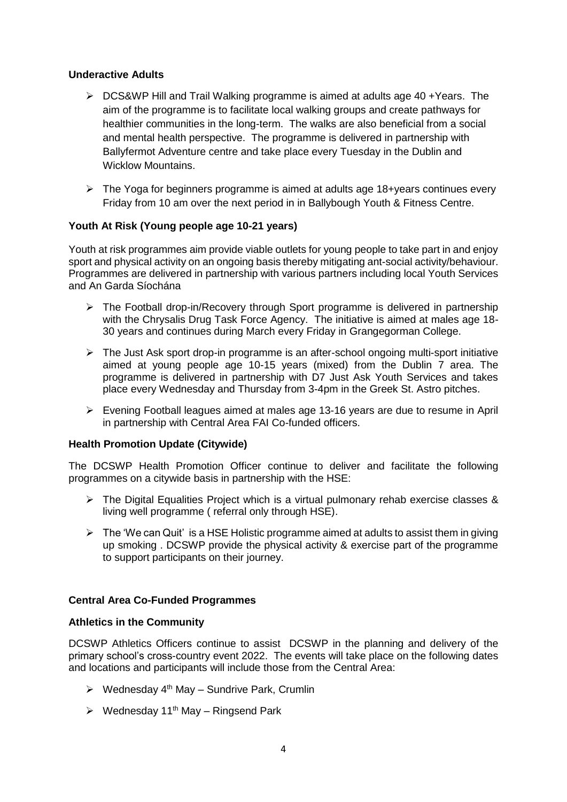### **Underactive Adults**

- $\triangleright$  DCS&WP Hill and Trail Walking programme is aimed at adults age 40 + Years. The aim of the programme is to facilitate local walking groups and create pathways for healthier communities in the long-term. The walks are also beneficial from a social and mental health perspective. The programme is delivered in partnership with Ballyfermot Adventure centre and take place every Tuesday in the Dublin and Wicklow Mountains.
- $\triangleright$  The Yoga for beginners programme is aimed at adults age 18+years continues every Friday from 10 am over the next period in in Ballybough Youth & Fitness Centre.

### **Youth At Risk (Young people age 10-21 years)**

Youth at risk programmes aim provide viable outlets for young people to take part in and enjoy sport and physical activity on an ongoing basis thereby mitigating ant-social activity/behaviour. Programmes are delivered in partnership with various partners including local Youth Services and An Garda Síochána

- $\triangleright$  The Football drop-in/Recovery through Sport programme is delivered in partnership with the Chrysalis Drug Task Force Agency. The initiative is aimed at males age 18- 30 years and continues during March every Friday in Grangegorman College.
- $\triangleright$  The Just Ask sport drop-in programme is an after-school ongoing multi-sport initiative aimed at young people age 10-15 years (mixed) from the Dublin 7 area. The programme is delivered in partnership with D7 Just Ask Youth Services and takes place every Wednesday and Thursday from 3-4pm in the Greek St. Astro pitches.
- Evening Football leagues aimed at males age 13-16 years are due to resume in April in partnership with Central Area FAI Co-funded officers.

#### **Health Promotion Update (Citywide)**

The DCSWP Health Promotion Officer continue to deliver and facilitate the following programmes on a citywide basis in partnership with the HSE:

- $\triangleright$  The Digital Equalities Project which is a virtual pulmonary rehab exercise classes & living well programme ( referral only through HSE).
- $\triangleright$  The 'We can Quit' is a HSE Holistic programme aimed at adults to assist them in giving up smoking . DCSWP provide the physical activity & exercise part of the programme to support participants on their journey.

#### **Central Area Co-Funded Programmes**

#### **Athletics in the Community**

DCSWP Athletics Officers continue to assist DCSWP in the planning and delivery of the primary school's cross-country event 2022. The events will take place on the following dates and locations and participants will include those from the Central Area:

- $\triangleright$  Wednesday 4<sup>th</sup> May Sundrive Park, Crumlin
- $\triangleright$  Wednesday 11<sup>th</sup> May Ringsend Park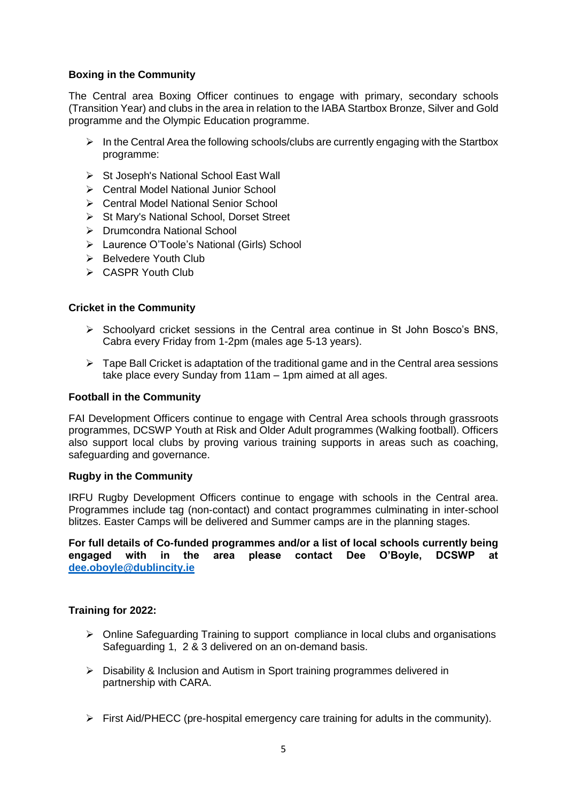### **Boxing in the Community**

The Central area Boxing Officer continues to engage with primary, secondary schools (Transition Year) and clubs in the area in relation to the IABA Startbox Bronze, Silver and Gold programme and the Olympic Education programme.

- $\triangleright$  In the Central Area the following schools/clubs are currently engaging with the Startbox programme:
- $\triangleright$  St Joseph's National School East Wall
- Central Model National Junior School
- Central Model National Senior School
- ▶ St Mary's National School, Dorset Street
- Drumcondra National School
- Laurence O'Toole's National (Girls) School
- $\triangleright$  Belvedere Youth Club
- **EXACTER Youth Club**

### **Cricket in the Community**

- $\triangleright$  Schoolyard cricket sessions in the Central area continue in St John Bosco's BNS, Cabra every Friday from 1-2pm (males age 5-13 years).
- $\triangleright$  Tape Ball Cricket is adaptation of the traditional game and in the Central area sessions take place every Sunday from 11am – 1pm aimed at all ages.

#### **Football in the Community**

FAI Development Officers continue to engage with Central Area schools through grassroots programmes, DCSWP Youth at Risk and Older Adult programmes (Walking football). Officers also support local clubs by proving various training supports in areas such as coaching, safeguarding and governance.

### **Rugby in the Community**

IRFU Rugby Development Officers continue to engage with schools in the Central area. Programmes include tag (non-contact) and contact programmes culminating in inter-school blitzes. Easter Camps will be delivered and Summer camps are in the planning stages.

#### **For full details of Co-funded programmes and/or a list of local schools currently being engaged with in the area please contact Dee O'Boyle, DCSWP at [dee.oboyle@dublincity.ie](mailto:dee.oboyle@dublincity.ie)**

### **Training for 2022:**

- $\triangleright$  Online Safeguarding Training to support compliance in local clubs and organisations Safeguarding 1, 2 & 3 delivered on an on-demand basis.
- Disability & Inclusion and Autism in Sport training programmes delivered in partnership with CARA.
- $\triangleright$  First Aid/PHECC (pre-hospital emergency care training for adults in the community).